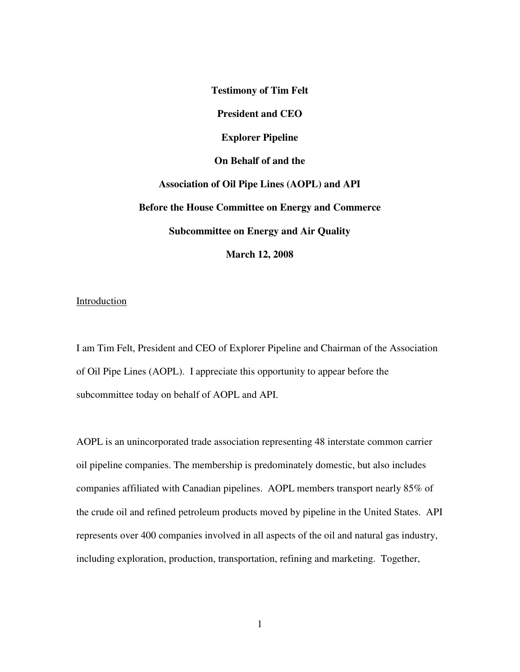**Testimony of Tim Felt President and CEO Explorer Pipeline On Behalf of and the Association of Oil Pipe Lines (AOPL) and API Before the House Committee on Energy and Commerce Subcommittee on Energy and Air Quality March 12, 2008** 

## Introduction

I am Tim Felt, President and CEO of Explorer Pipeline and Chairman of the Association of Oil Pipe Lines (AOPL). I appreciate this opportunity to appear before the subcommittee today on behalf of AOPL and API.

AOPL is an unincorporated trade association representing 48 interstate common carrier oil pipeline companies. The membership is predominately domestic, but also includes companies affiliated with Canadian pipelines. AOPL members transport nearly 85% of the crude oil and refined petroleum products moved by pipeline in the United States. API represents over 400 companies involved in all aspects of the oil and natural gas industry, including exploration, production, transportation, refining and marketing. Together,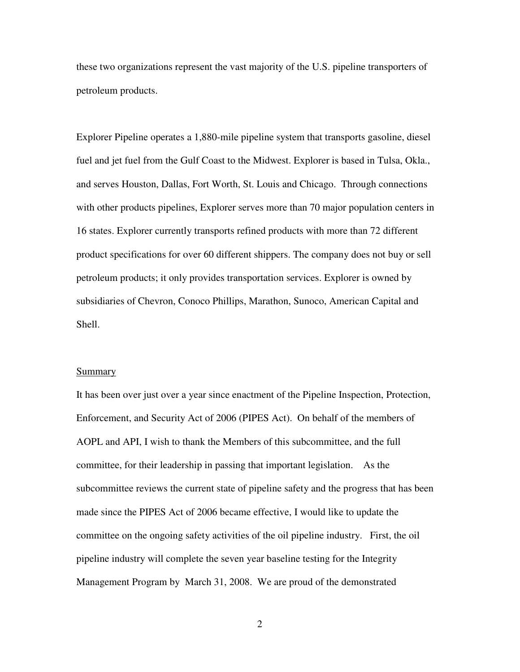these two organizations represent the vast majority of the U.S. pipeline transporters of petroleum products.

Explorer Pipeline operates a 1,880-mile pipeline system that transports gasoline, diesel fuel and jet fuel from the Gulf Coast to the Midwest. Explorer is based in Tulsa, Okla., and serves Houston, Dallas, Fort Worth, St. Louis and Chicago. Through connections with other products pipelines, Explorer serves more than 70 major population centers in 16 states. Explorer currently transports refined products with more than 72 different product specifications for over 60 different shippers. The company does not buy or sell petroleum products; it only provides transportation services. Explorer is owned by subsidiaries of Chevron, Conoco Phillips, Marathon, Sunoco, American Capital and Shell.

#### Summary

It has been over just over a year since enactment of the Pipeline Inspection, Protection, Enforcement, and Security Act of 2006 (PIPES Act). On behalf of the members of AOPL and API, I wish to thank the Members of this subcommittee, and the full committee, for their leadership in passing that important legislation. As the subcommittee reviews the current state of pipeline safety and the progress that has been made since the PIPES Act of 2006 became effective, I would like to update the committee on the ongoing safety activities of the oil pipeline industry. First, the oil pipeline industry will complete the seven year baseline testing for the Integrity Management Program by March 31, 2008. We are proud of the demonstrated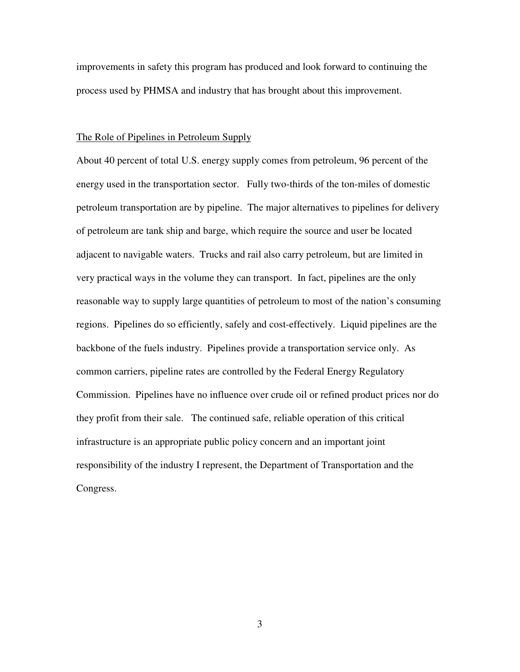improvements in safety this program has produced and look forward to continuing the process used by PHMSA and industry that has brought about this improvement.

## The Role of Pipelines in Petroleum Supply

About 40 percent of total U.S. energy supply comes from petroleum, 96 percent of the energy used in the transportation sector. Fully two-thirds of the ton-miles of domestic petroleum transportation are by pipeline. The major alternatives to pipelines for delivery of petroleum are tank ship and barge, which require the source and user be located adjacent to navigable waters. Trucks and rail also carry petroleum, but are limited in very practical ways in the volume they can transport. In fact, pipelines are the only reasonable way to supply large quantities of petroleum to most of the nation's consuming regions. Pipelines do so efficiently, safely and cost-effectively. Liquid pipelines are the backbone of the fuels industry. Pipelines provide a transportation service only. As common carriers, pipeline rates are controlled by the Federal Energy Regulatory Commission. Pipelines have no influence over crude oil or refined product prices nor do they profit from their sale. The continued safe, reliable operation of this critical infrastructure is an appropriate public policy concern and an important joint responsibility of the industry I represent, the Department of Transportation and the Congress.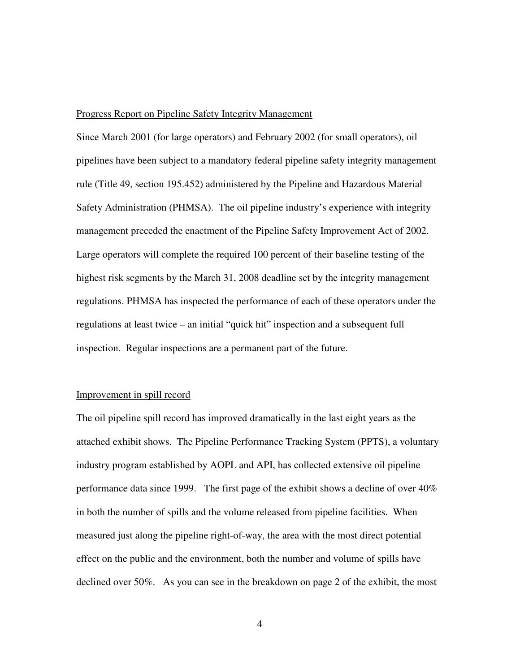#### Progress Report on Pipeline Safety Integrity Management

Since March 2001 (for large operators) and February 2002 (for small operators), oil pipelines have been subject to a mandatory federal pipeline safety integrity management rule (Title 49, section 195.452) administered by the Pipeline and Hazardous Material Safety Administration (PHMSA). The oil pipeline industry's experience with integrity management preceded the enactment of the Pipeline Safety Improvement Act of 2002. Large operators will complete the required 100 percent of their baseline testing of the highest risk segments by the March 31, 2008 deadline set by the integrity management regulations. PHMSA has inspected the performance of each of these operators under the regulations at least twice – an initial "quick hit" inspection and a subsequent full inspection. Regular inspections are a permanent part of the future.

## Improvement in spill record

The oil pipeline spill record has improved dramatically in the last eight years as the attached exhibit shows. The Pipeline Performance Tracking System (PPTS), a voluntary industry program established by AOPL and API, has collected extensive oil pipeline performance data since 1999. The first page of the exhibit shows a decline of over 40% in both the number of spills and the volume released from pipeline facilities. When measured just along the pipeline right-of-way, the area with the most direct potential effect on the public and the environment, both the number and volume of spills have declined over 50%. As you can see in the breakdown on page 2 of the exhibit, the most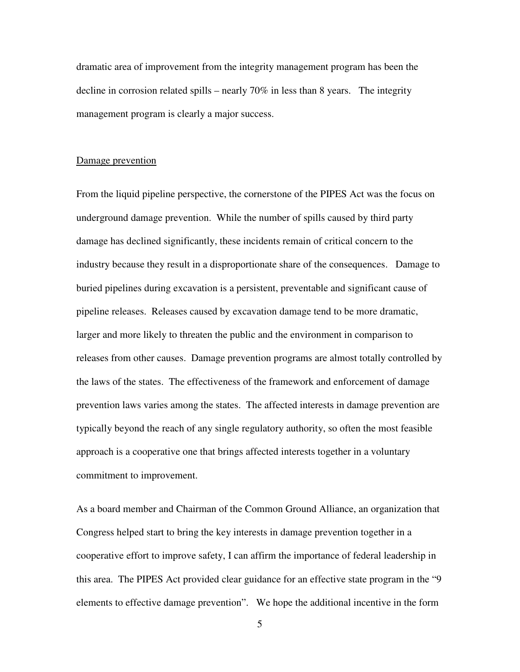dramatic area of improvement from the integrity management program has been the decline in corrosion related spills – nearly 70% in less than 8 years. The integrity management program is clearly a major success.

### Damage prevention

From the liquid pipeline perspective, the cornerstone of the PIPES Act was the focus on underground damage prevention. While the number of spills caused by third party damage has declined significantly, these incidents remain of critical concern to the industry because they result in a disproportionate share of the consequences. Damage to buried pipelines during excavation is a persistent, preventable and significant cause of pipeline releases. Releases caused by excavation damage tend to be more dramatic, larger and more likely to threaten the public and the environment in comparison to releases from other causes. Damage prevention programs are almost totally controlled by the laws of the states. The effectiveness of the framework and enforcement of damage prevention laws varies among the states. The affected interests in damage prevention are typically beyond the reach of any single regulatory authority, so often the most feasible approach is a cooperative one that brings affected interests together in a voluntary commitment to improvement.

As a board member and Chairman of the Common Ground Alliance, an organization that Congress helped start to bring the key interests in damage prevention together in a cooperative effort to improve safety, I can affirm the importance of federal leadership in this area. The PIPES Act provided clear guidance for an effective state program in the "9 elements to effective damage prevention". We hope the additional incentive in the form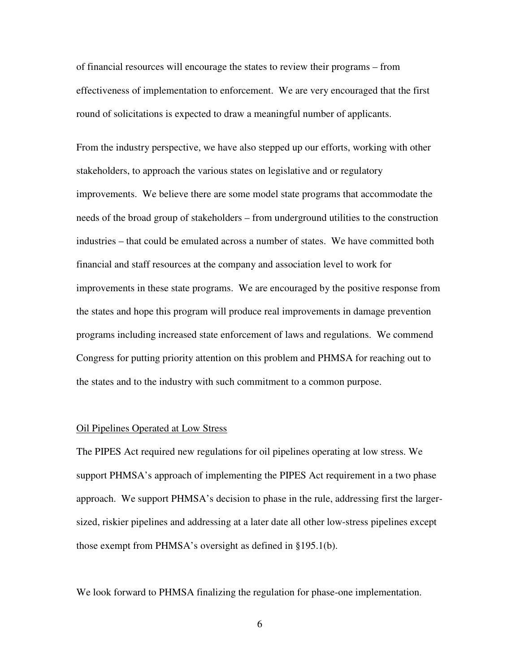of financial resources will encourage the states to review their programs – from effectiveness of implementation to enforcement. We are very encouraged that the first round of solicitations is expected to draw a meaningful number of applicants.

From the industry perspective, we have also stepped up our efforts, working with other stakeholders, to approach the various states on legislative and or regulatory improvements. We believe there are some model state programs that accommodate the needs of the broad group of stakeholders – from underground utilities to the construction industries – that could be emulated across a number of states. We have committed both financial and staff resources at the company and association level to work for improvements in these state programs. We are encouraged by the positive response from the states and hope this program will produce real improvements in damage prevention programs including increased state enforcement of laws and regulations. We commend Congress for putting priority attention on this problem and PHMSA for reaching out to the states and to the industry with such commitment to a common purpose.

#### Oil Pipelines Operated at Low Stress

The PIPES Act required new regulations for oil pipelines operating at low stress. We support PHMSA's approach of implementing the PIPES Act requirement in a two phase approach. We support PHMSA's decision to phase in the rule, addressing first the largersized, riskier pipelines and addressing at a later date all other low-stress pipelines except those exempt from PHMSA's oversight as defined in §195.1(b).

We look forward to PHMSA finalizing the regulation for phase-one implementation.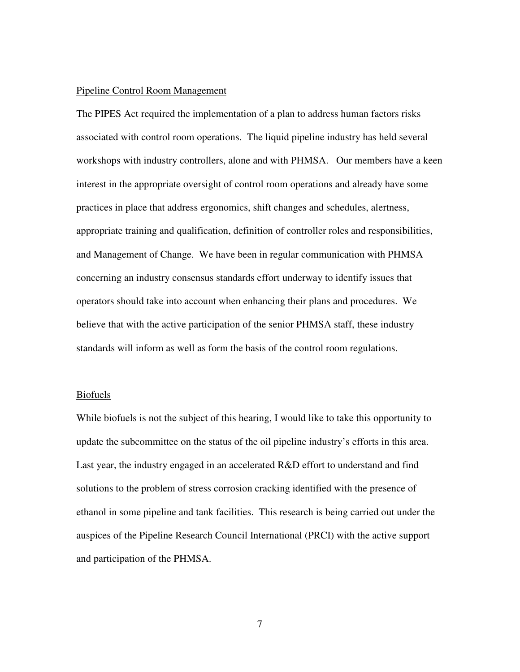### Pipeline Control Room Management

The PIPES Act required the implementation of a plan to address human factors risks associated with control room operations. The liquid pipeline industry has held several workshops with industry controllers, alone and with PHMSA. Our members have a keen interest in the appropriate oversight of control room operations and already have some practices in place that address ergonomics, shift changes and schedules, alertness, appropriate training and qualification, definition of controller roles and responsibilities, and Management of Change. We have been in regular communication with PHMSA concerning an industry consensus standards effort underway to identify issues that operators should take into account when enhancing their plans and procedures. We believe that with the active participation of the senior PHMSA staff, these industry standards will inform as well as form the basis of the control room regulations.

#### Biofuels

While biofuels is not the subject of this hearing, I would like to take this opportunity to update the subcommittee on the status of the oil pipeline industry's efforts in this area. Last year, the industry engaged in an accelerated R&D effort to understand and find solutions to the problem of stress corrosion cracking identified with the presence of ethanol in some pipeline and tank facilities. This research is being carried out under the auspices of the Pipeline Research Council International (PRCI) with the active support and participation of the PHMSA.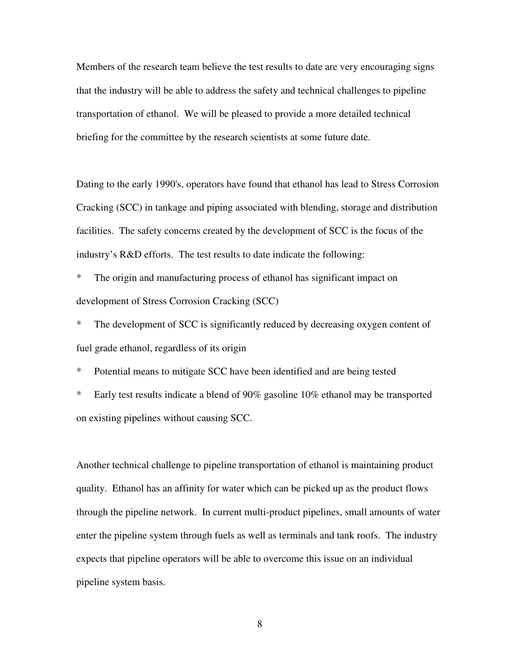Members of the research team believe the test results to date are very encouraging signs that the industry will be able to address the safety and technical challenges to pipeline transportation of ethanol. We will be pleased to provide a more detailed technical briefing for the committee by the research scientists at some future date.

Dating to the early 1990's, operators have found that ethanol has lead to Stress Corrosion Cracking (SCC) in tankage and piping associated with blending, storage and distribution facilities. The safety concerns created by the development of SCC is the focus of the industry's R&D efforts. The test results to date indicate the following:

\* The origin and manufacturing process of ethanol has significant impact on development of Stress Corrosion Cracking (SCC)

\* The development of SCC is significantly reduced by decreasing oxygen content of fuel grade ethanol, regardless of its origin

\* Potential means to mitigate SCC have been identified and are being tested

\* Early test results indicate a blend of 90% gasoline 10% ethanol may be transported on existing pipelines without causing SCC.

Another technical challenge to pipeline transportation of ethanol is maintaining product quality. Ethanol has an affinity for water which can be picked up as the product flows through the pipeline network. In current multi-product pipelines, small amounts of water enter the pipeline system through fuels as well as terminals and tank roofs. The industry expects that pipeline operators will be able to overcome this issue on an individual pipeline system basis.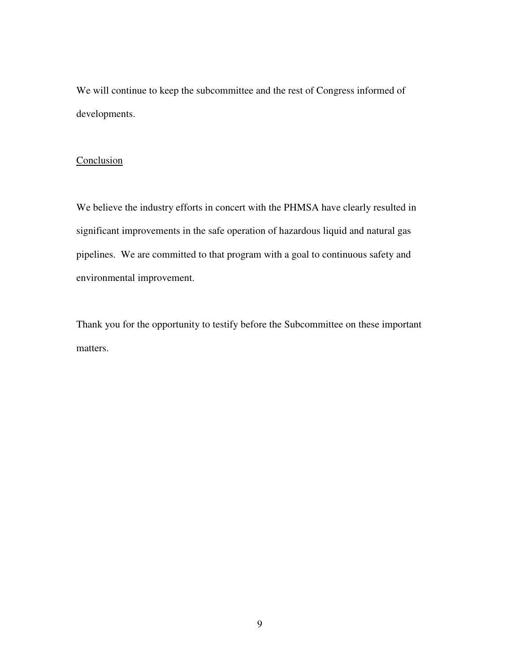We will continue to keep the subcommittee and the rest of Congress informed of developments.

# **Conclusion**

We believe the industry efforts in concert with the PHMSA have clearly resulted in significant improvements in the safe operation of hazardous liquid and natural gas pipelines. We are committed to that program with a goal to continuous safety and environmental improvement.

Thank you for the opportunity to testify before the Subcommittee on these important matters.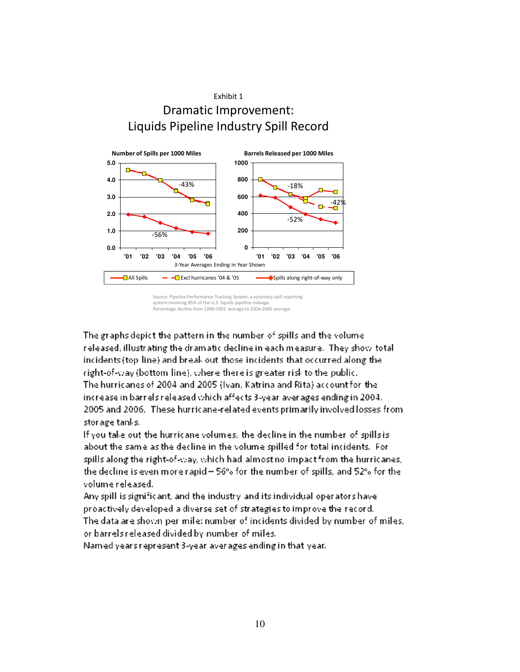

Source: Pipeline Performance Tracking System, a voluntary spill reporting system involving 85% of the U.S. liquids pipeline mileage. Percentage decline from 1999-2001 average to 2004-2006 average.

The graphs depict the pattern in the number of spills and the volume released, illustrating the dramatic decline in each measure. They show total incidents (top-line) and break out-those incidents that occurred along the right-of-way (bottom line), where there is greater risk to the public. The hurricanes of 2004 and 2005 (Ivan, Katrina and Rita) account for the increase in barrels released which affects 3-year averages ending in 2004, 2005 and 2006. These hurricane-related events primarily involved losses from storage tanks.

If you take out the hurricane volumes, the decline in the number of spills is about the same as the decline in the volume spilled for total incidents. For spills along the right-of-way, which had almost no impact from the hurricanes, the decline is even more rapid -  $56\%$  for the number of spills, and  $52\%$  for the volume released.

Any spill is significant, and the industry and its individual operators have proactively developed a diverse set of strategies to improve the record. The data are shown per mile: number of incidents divided by number of miles, or barrels released divided by number of miles.

Named years represent 3-year averages ending in that year.